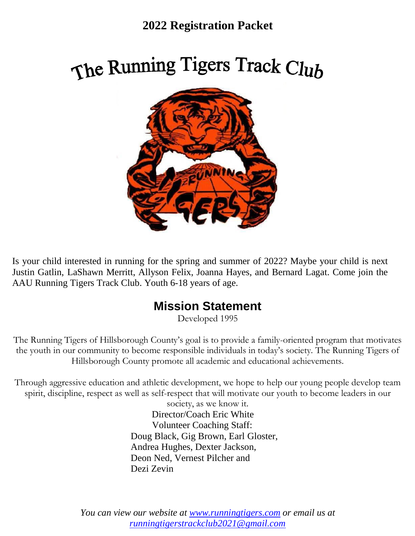### **2022 Registration Packet**

# The Running Tigers Track Club



Is your child interested in running for the spring and summer of 2022? Maybe your child is next Justin Gatlin, LaShawn Merritt, Allyson Felix, Joanna Hayes, and Bernard Lagat. Come join the AAU Running Tigers Track Club. Youth 6-18 years of age.

### **Mission Statement**

Developed 1995

The Running Tigers of Hillsborough County's goal is to provide a family-oriented program that motivates the youth in our community to become responsible individuals in today's society. The Running Tigers of Hillsborough County promote all academic and educational achievements.

Through aggressive education and athletic development, we hope to help our young people develop team spirit, discipline, respect as well as self-respect that will motivate our youth to become leaders in our

> society, as we know it. Director/Coach Eric White Volunteer Coaching Staff: Doug Black, Gig Brown, Earl Gloster, Andrea Hughes, Dexter Jackson, Deon Ned, Vernest Pilcher and Dezi Zevin

*You can view our website at [www.runningtigers.com](http://www.runningtigers.com/) or email us at [runningtigerstrackclub2021@gmail.com](mailto:runningtigerstrackclub2021@gmail.com)*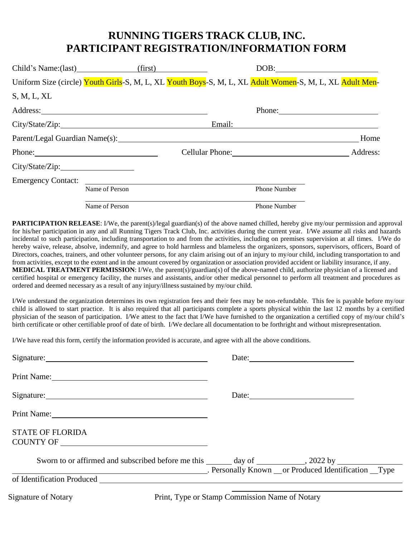### **RUNNING TIGERS TRACK CLUB, INC. PARTICIPANT REGISTRATION/INFORMATION FORM**

|                 | Child's Name:(last) (first)                                                                                                                                                                                                   |                                                                                                         |                     | $DOB:$   |
|-----------------|-------------------------------------------------------------------------------------------------------------------------------------------------------------------------------------------------------------------------------|---------------------------------------------------------------------------------------------------------|---------------------|----------|
|                 |                                                                                                                                                                                                                               | Uniform Size (circle) Youth Girls-S, M, L, XL Youth Boys-S, M, L, XL Adult Women-S, M, L, XL Adult Men- |                     |          |
| S, M, L, XL     |                                                                                                                                                                                                                               |                                                                                                         |                     |          |
|                 |                                                                                                                                                                                                                               |                                                                                                         |                     |          |
|                 |                                                                                                                                                                                                                               | Email:                                                                                                  |                     |          |
|                 |                                                                                                                                                                                                                               |                                                                                                         |                     | Home     |
|                 | Phone: 2008. Expansion of the contract of the contract of the contract of the contract of the contract of the contract of the contract of the contract of the contract of the contract of the contract of the contract of the | Cellular Phone: 2008                                                                                    |                     | Address: |
| City/State/Zip: |                                                                                                                                                                                                                               |                                                                                                         |                     |          |
|                 | Emergency Contact:                                                                                                                                                                                                            |                                                                                                         |                     |          |
|                 | Name of Person                                                                                                                                                                                                                |                                                                                                         | <b>Phone Number</b> |          |
|                 | Name of Person                                                                                                                                                                                                                |                                                                                                         | Phone Number        |          |

**PARTICIPATION RELEASE**: I/We, the parent(s)/legal guardian(s) of the above named chilled, hereby give my/our permission and approval for his/her participation in any and all Running Tigers Track Club, Inc. activities during the current year. I/We assume all risks and hazards incidental to such participation, including transportation to and from the activities, including on premises supervision at all times. I/We do hereby waive, release, absolve, indemnify, and agree to hold harmless and blameless the organizers, sponsors, supervisors, officers, Board of Directors, coaches, trainers, and other volunteer persons, for any claim arising out of an injury to my/our child, including transportation to and from activities, except to the extent and in the amount covered by organization or association provided accident or liability insurance, if any. **MEDICAL TREATMENT PERMISSION**: I/We, the parent(s)/guardian(s) of the above-named child, authorize physician of a licensed and certified hospital or emergency facility, the nurses and assistants, and/or other medical personnel to perform all treatment and procedures as ordered and deemed necessary as a result of any injury/illness sustained by my/our child.

I/We understand the organization determines its own registration fees and their fees may be non-refundable. This fee is payable before my/our child is allowed to start practice. It is also required that all participants complete a sports physical within the last 12 months by a certified physician of the season of participation. I/We attest to the fact that I/We have furnished to the organization a certified copy of my/our child's birth certificate or other certifiable proof of date of birth. I/We declare all documentation to be forthright and without misrepresentation.

I/We have read this form, certify the information provided is accurate, and agree with all the above conditions.

|                                                                                                                                                                                                                                | Date: |  |
|--------------------------------------------------------------------------------------------------------------------------------------------------------------------------------------------------------------------------------|-------|--|
|                                                                                                                                                                                                                                |       |  |
|                                                                                                                                                                                                                                | Date: |  |
| Print Name: 1000 and 2000 and 2000 and 2000 and 2000 and 2000 and 2000 and 2000 and 2000 and 2000 and 2000 and 2000 and 2000 and 2000 and 2000 and 2000 and 2000 and 2000 and 2000 and 2000 and 2000 and 2000 and 2000 and 200 |       |  |
| <b>STATE OF FLORIDA</b><br>COUNTY OF                                                                                                                                                                                           |       |  |
| Sworn to or affirmed and subscribed before me this ______ day of __________, 2022 by ______________<br>. Personally Known __ or Produced Identification __Type                                                                 |       |  |
| of Identification Produced                                                                                                                                                                                                     |       |  |
|                                                                                                                                                                                                                                |       |  |

Signature of Notary Print, Type or Stamp Commission Name of Notary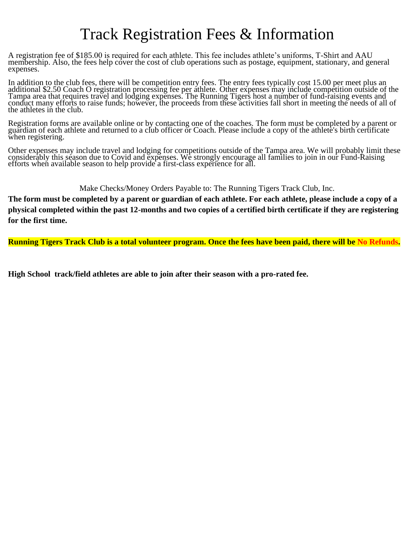## Track Registration Fees & Information

A registration fee of \$185.00 is required for each athlete. This fee includes athlete's uniforms, T-Shirt and AAU membership. Also, the fees help cover the cost of club operations such as postage, equipment, stationary, and general expenses.

In addition to the club fees, there will be competition entry fees. The entry fees typically cost 15.00 per meet plus an additional \$2.50 Coach O registration processing fee per athlete. Other expenses may include competition outside of the Tampa area that requires travel and lodging expenses. The Running Tigers host a number of fund-raising events and conduct many efforts to raise funds; however, the proceeds from these activities fall short in meeting the needs of all of the athletes in the club.

Registration forms are available online or by contacting one of the coaches. The form must be completed by a parent or guardian of each athlete and returned to a club officer or Coach. Please include a copy of the athlete's birth certificate when registering.

Other expenses may include travel and lodging for competitions outside of the Tampa area. We will probably limit these considerably this season due to Covid and expenses. We strongly encourage all families to join in our Fund-Raising efforts when available season to help provide a first-class experience for all.

Make Checks/Money Orders Payable to: The Running Tigers Track Club, Inc.

**The form must be completed by a parent or guardian of each athlete. For each athlete, please include a copy of a physical completed within the past 12-months and two copies of a certified birth certificate if they are registering for the first time.** 

**Running Tigers Track Club is a total volunteer program. Once the fees have been paid, there will be No Refunds.**

**High School track/field athletes are able to join after their season with a pro-rated fee.**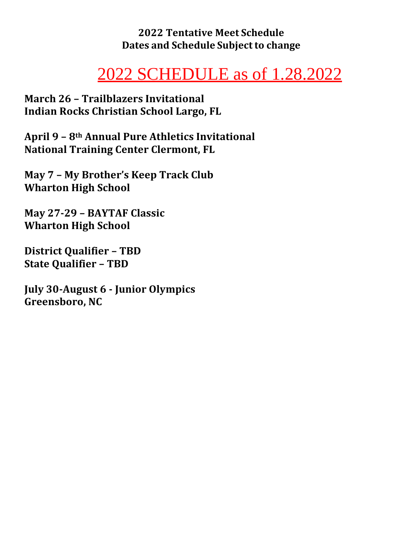**2022 Tentative Meet Schedule Dates and Schedule Subject to change**

# 2022 SCHEDULE as of 1.28.2022

**March 26 – Trailblazers Invitational Indian Rocks Christian School Largo, FL** 

**April 9 – 8th Annual Pure Athletics Invitational National Training Center Clermont, FL** 

**May 7 – My Brother's Keep Track Club Wharton High School**

**May 27-29 – BAYTAF Classic Wharton High School**

**District Qualifier – TBD State Qualifier – TBD**

**July 30-August 6 - Junior Olympics Greensboro, NC**